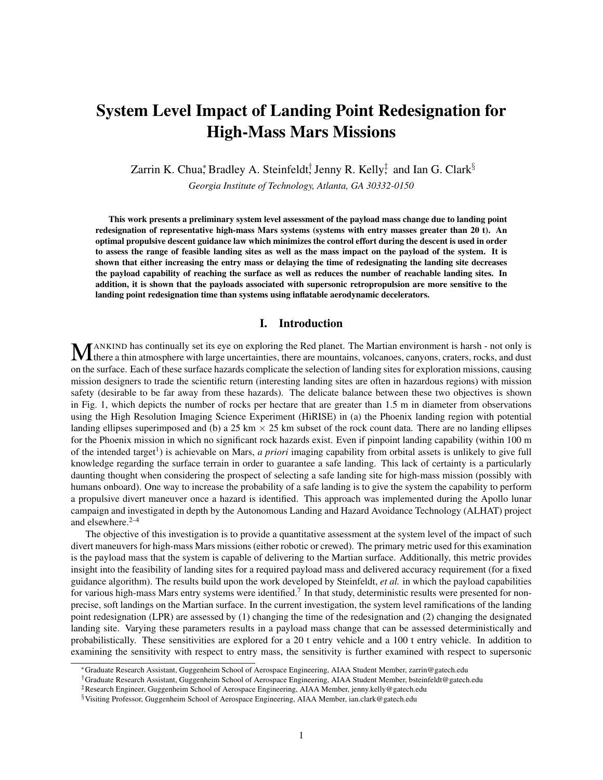# System Level Impact of Landing Point Redesignation for High-Mass Mars Missions

Zarrin K. Chua $*$  Bradley A. Steinfeldt $\dagger$  Jenny R. Kelly $\ddagger$  and Ian G. Clark $\S$ 

*Georgia Institute of Technology, Atlanta, GA 30332-0150*

This work presents a preliminary system level assessment of the payload mass change due to landing point redesignation of representative high-mass Mars systems (systems with entry masses greater than 20 t). An optimal propulsive descent guidance law which minimizes the control effort during the descent is used in order to assess the range of feasible landing sites as well as the mass impact on the payload of the system. It is shown that either increasing the entry mass or delaying the time of redesignating the landing site decreases the payload capability of reaching the surface as well as reduces the number of reachable landing sites. In addition, it is shown that the payloads associated with supersonic retropropulsion are more sensitive to the landing point redesignation time than systems using inflatable aerodynamic decelerators.

# I. Introduction

MANKIND has continually set its eye on exploring the Red planet. The Martian environment is harsh - not only is there a thin atmosphere with large uncertainties, there are mountains, volcanoes, canyons, craters, rocks, and ANKIND has continually set its eye on exploring the Red planet. The Martian environment is harsh - not only is on the surface. Each of these surface hazards complicate the selection of landing sites for exploration missions, causing mission designers to trade the scientific return (interesting landing sites are often in hazardous regions) with mission safety (desirable to be far away from these hazards). The delicate balance between these two objectives is shown in Fig. 1, which depicts the number of rocks per hectare that are greater than 1.5 m in diameter from observations using the High Resolution Imaging Science Experiment (HiRISE) in (a) the Phoenix landing region with potential landing ellipses superimposed and (b) a 25 km  $\times$  25 km subset of the rock count data. There are no landing ellipses for the Phoenix mission in which no significant rock hazards exist. Even if pinpoint landing capability (within 100 m of the intended target<sup>1</sup>) is achievable on Mars, *a priori* imaging capability from orbital assets is unlikely to give full knowledge regarding the surface terrain in order to guarantee a safe landing. This lack of certainty is a particularly daunting thought when considering the prospect of selecting a safe landing site for high-mass mission (possibly with humans onboard). One way to increase the probability of a safe landing is to give the system the capability to perform a propulsive divert maneuver once a hazard is identified. This approach was implemented during the Apollo lunar campaign and investigated in depth by the Autonomous Landing and Hazard Avoidance Technology (ALHAT) project and elsewhere. $2-4$ 

The objective of this investigation is to provide a quantitative assessment at the system level of the impact of such divert maneuvers for high-mass Mars missions (either robotic or crewed). The primary metric used for this examination is the payload mass that the system is capable of delivering to the Martian surface. Additionally, this metric provides insight into the feasibility of landing sites for a required payload mass and delivered accuracy requirement (for a fixed guidance algorithm). The results build upon the work developed by Steinfeldt, *et al.* in which the payload capabilities for various high-mass Mars entry systems were identified.<sup>7</sup> In that study, deterministic results were presented for nonprecise, soft landings on the Martian surface. In the current investigation, the system level ramifications of the landing point redesignation (LPR) are assessed by (1) changing the time of the redesignation and (2) changing the designated landing site. Varying these parameters results in a payload mass change that can be assessed deterministically and probabilistically. These sensitivities are explored for a 20 t entry vehicle and a 100 t entry vehicle. In addition to examining the sensitivity with respect to entry mass, the sensitivity is further examined with respect to supersonic

<sup>∗</sup>Graduate Research Assistant, Guggenheim School of Aerospace Engineering, AIAA Student Member, zarrin@gatech.edu

<sup>†</sup>Graduate Research Assistant, Guggenheim School of Aerospace Engineering, AIAA Student Member, bsteinfeldt@gatech.edu

<sup>‡</sup>Research Engineer, Guggenheim School of Aerospace Engineering, AIAA Member, jenny.kelly@gatech.edu

<sup>§</sup>Visiting Professor, Guggenheim School of Aerospace Engineering, AIAA Member, ian.clark@gatech.edu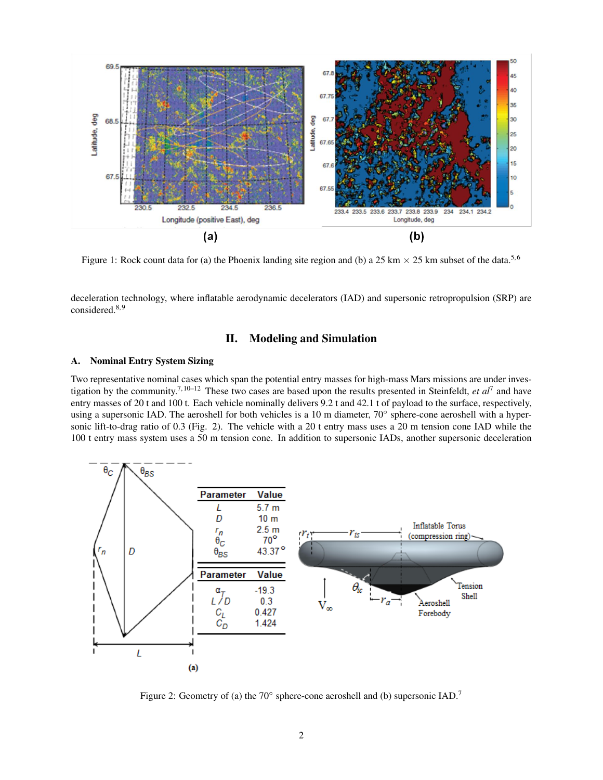

Figure 1: Rock count data for (a) the Phoenix landing site region and (b) a 25 km  $\times$  25 km subset of the data.<sup>5,6</sup>

deceleration technology, where inflatable aerodynamic decelerators (IAD) and supersonic retropropulsion (SRP) are considered.<sup>8,9</sup>

# II. Modeling and Simulation

## A. Nominal Entry System Sizing

Two representative nominal cases which span the potential entry masses for high-mass Mars missions are under investigation by the community.7, 10–12 These two cases are based upon the results presented in Steinfeldt, *et al*<sup>7</sup> and have entry masses of 20 t and 100 t. Each vehicle nominally delivers 9.2 t and 42.1 t of payload to the surface, respectively, using a supersonic IAD. The aeroshell for both vehicles is a 10 m diameter, 70° sphere-cone aeroshell with a hypersonic lift-to-drag ratio of 0.3 (Fig. 2). The vehicle with a 20 t entry mass uses a 20 m tension cone IAD while the 100 t entry mass system uses a 50 m tension cone. In addition to supersonic IADs, another supersonic deceleration



Figure 2: Geometry of (a) the  $70^{\circ}$  sphere-cone aeroshell and (b) supersonic IAD.<sup>7</sup>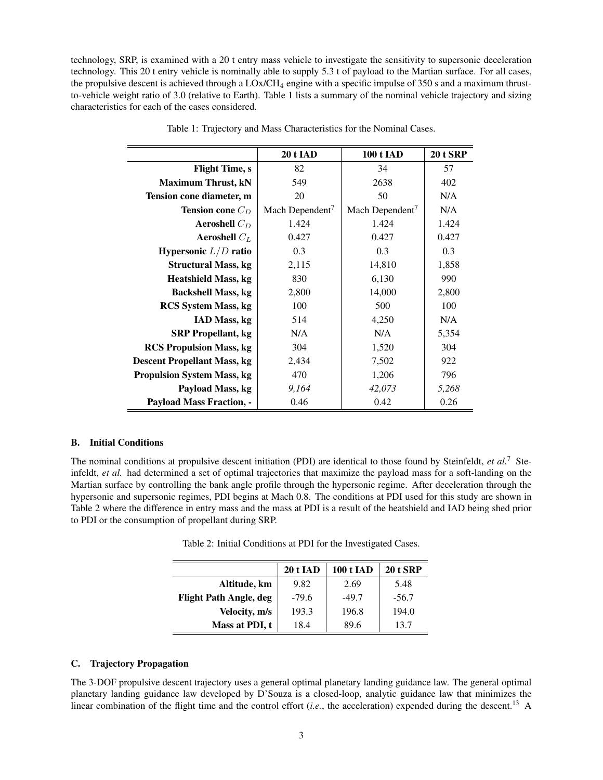technology, SRP, is examined with a 20 t entry mass vehicle to investigate the sensitivity to supersonic deceleration technology. This 20 t entry vehicle is nominally able to supply 5.3 t of payload to the Martian surface. For all cases, the propulsive descent is achieved through a  $LOx/CH_4$  engine with a specific impulse of 350 s and a maximum thrustto-vehicle weight ratio of 3.0 (relative to Earth). Table 1 lists a summary of the nominal vehicle trajectory and sizing characteristics for each of the cases considered.

|                                    | <b>20 t IAD</b>             | <b>100 t IAD</b>            | <b>20 t SRP</b> |
|------------------------------------|-----------------------------|-----------------------------|-----------------|
| <b>Flight Time, s</b>              | 82                          | 34                          | 57              |
| <b>Maximum Thrust, kN</b>          | 549                         | 2638                        | 402             |
| Tension cone diameter, m           | 20                          | 50                          | N/A             |
| <b>Tension cone</b> $C_D$          | Mach Dependent <sup>7</sup> | Mach Dependent <sup>7</sup> | N/A             |
| Aeroshell $C_D$                    | 1.424                       | 1.424                       | 1.424           |
| Aeroshell $C_L$                    | 0.427                       | 0.427                       | 0.427           |
| Hypersonic $L/D$ ratio             | 0.3                         | 0.3                         | 0.3             |
| <b>Structural Mass, kg</b>         | 2,115                       | 14,810                      | 1,858           |
| <b>Heatshield Mass, kg</b>         | 830                         | 6,130                       | 990             |
| <b>Backshell Mass, kg</b>          | 2,800                       | 14,000                      | 2,800           |
| <b>RCS</b> System Mass, kg         | 100                         | 500                         | 100             |
| IAD Mass, kg                       | 514                         | 4,250                       | N/A             |
| <b>SRP</b> Propellant, kg          | N/A                         | N/A                         | 5,354           |
| <b>RCS</b> Propulsion Mass, kg     | 304                         | 1,520                       | 304             |
| <b>Descent Propellant Mass, kg</b> | 2,434                       | 7,502                       | 922             |
| <b>Propulsion System Mass, kg</b>  | 470                         | 1,206                       | 796             |
| Payload Mass, kg                   | 9,164                       | 42,073                      | 5,268           |
| <b>Payload Mass Fraction, -</b>    | 0.46                        | 0.42                        | 0.26            |

Table 1: Trajectory and Mass Characteristics for the Nominal Cases.

## B. Initial Conditions

The nominal conditions at propulsive descent initiation (PDI) are identical to those found by Steinfeldt, *et al.*<sup>7</sup> Steinfeldt, *et al.* had determined a set of optimal trajectories that maximize the payload mass for a soft-landing on the Martian surface by controlling the bank angle profile through the hypersonic regime. After deceleration through the hypersonic and supersonic regimes, PDI begins at Mach 0.8. The conditions at PDI used for this study are shown in Table 2 where the difference in entry mass and the mass at PDI is a result of the heatshield and IAD being shed prior to PDI or the consumption of propellant during SRP.

|                               | <b>20 t IAD</b> | <b>100 t IAD</b> | <b>20 t SRP</b> |
|-------------------------------|-----------------|------------------|-----------------|
| Altitude, km                  | 9.82            | 2.69             | 5.48            |
| <b>Flight Path Angle, deg</b> | $-79.6$         | $-49.7$          | $-56.7$         |
| Velocity, m/s                 | 193.3           | 196.8            | 194.0           |
| Mass at PDI, t                | 18.4            | 89.6             | 13.7            |

Table 2: Initial Conditions at PDI for the Investigated Cases.

## C. Trajectory Propagation

The 3-DOF propulsive descent trajectory uses a general optimal planetary landing guidance law. The general optimal planetary landing guidance law developed by D'Souza is a closed-loop, analytic guidance law that minimizes the linear combination of the flight time and the control effort (*i.e.*, the acceleration) expended during the descent.<sup>13</sup> A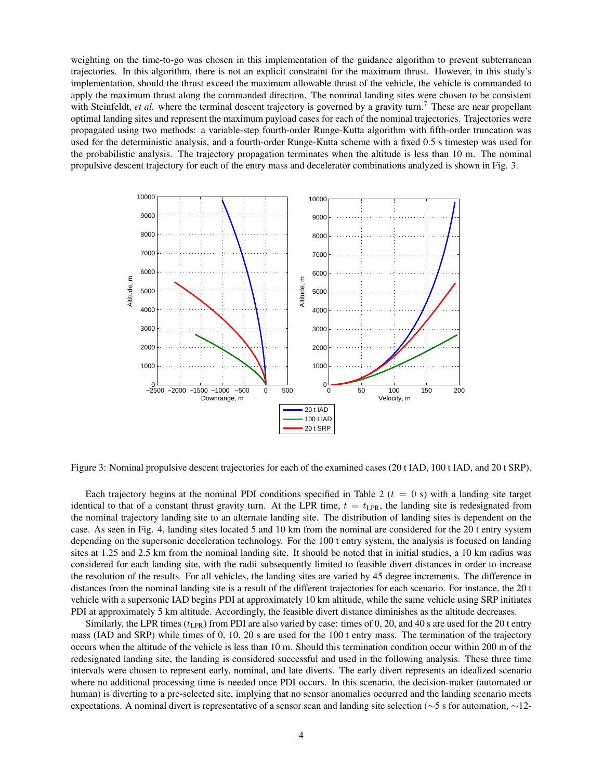weighting on the time-to-go was chosen in this implementation of the guidance algorithm to prevent subterranean trajectories. In this algorithm, there is not an explicit constraint for the maximum thrust. However, in this study's implementation, should the thrust exceed the maximum allowable thrust of the vehicle, the vehicle is commanded to apply the maximum thrust along the commanded direction. The nominal landing sites were chosen to be consistent with Steinfeldt, *et al.* where the terminal descent trajectory is governed by a gravity turn.<sup>7</sup> These are near propellant optimal landing sites and represent the maximum payload cases for each of the nominal trajectories. Trajectories were propagated using two methods: a variable-step fourth-order Runge-Kutta algorithm with fifth-order truncation was used for the deterministic analysis, and a fourth-order Runge-Kutta scheme with a fixed 0.5 s timestep was used for the probabilistic analysis. The trajectory propagation terminates when the altitude is less than 10 m. The nominal propulsive descent trajectory for each of the entry mass and decelerator combinations analyzed is shown in Fig. 3.



Figure 3: Nominal propulsive descent trajectories for each of the examined cases (20 t IAD, 100 t IAD, and 20 t SRP).

Each trajectory begins at the nominal PDI conditions specified in Table 2  $(t = 0 s)$  with a landing site target identical to that of a constant thrust gravity turn. At the LPR time,  $t = t_{\text{LPR}}$ , the landing site is redesignated from the nominal trajectory landing site to an alternate landing site. The distribution of landing sites is dependent on the case. As seen in Fig. 4, landing sites located 5 and 10 km from the nominal are considered for the 20 t entry system depending on the supersonic deceleration technology. For the 100 t entry system, the analysis is focused on landing sites at 1.25 and 2.5 km from the nominal landing site. It should be noted that in initial studies, a 10 km radius was considered for each landing site, with the radii subsequently limited to feasible divert distances in order to increase the resolution of the results. For all vehicles, the landing sites are varied by 45 degree increments. The difference in distances from the nominal landing site is a result of the different trajectories for each scenario. For instance, the 20 t vehicle with a supersonic IAD begins PDI at approximately 10 km altitude, while the same vehicle using SRP initiates PDI at approximately 5 km altitude. Accordingly, the feasible divert distance diminishes as the altitude decreases.

Similarly, the LPR times  $(t_{\text{LR}})$  from PDI are also varied by case: times of 0, 20, and 40 s are used for the 20 t entry mass (IAD and SRP) while times of 0, 10, 20 s are used for the 100 t entry mass. The termination of the trajectory occurs when the altitude of the vehicle is less than 10 m. Should this termination condition occur within 200 m of the redesignated landing site, the landing is considered successful and used in the following analysis. These three time intervals were chosen to represent early, nominal, and late diverts. The early divert represents an idealized scenario where no additional processing time is needed once PDI occurs. In this scenario, the decision-maker (automated or human) is diverting to a pre-selected site, implying that no sensor anomalies occurred and the landing scenario meets expectations. A nominal divert is representative of a sensor scan and landing site selection (∼5 s for automation, ∼12-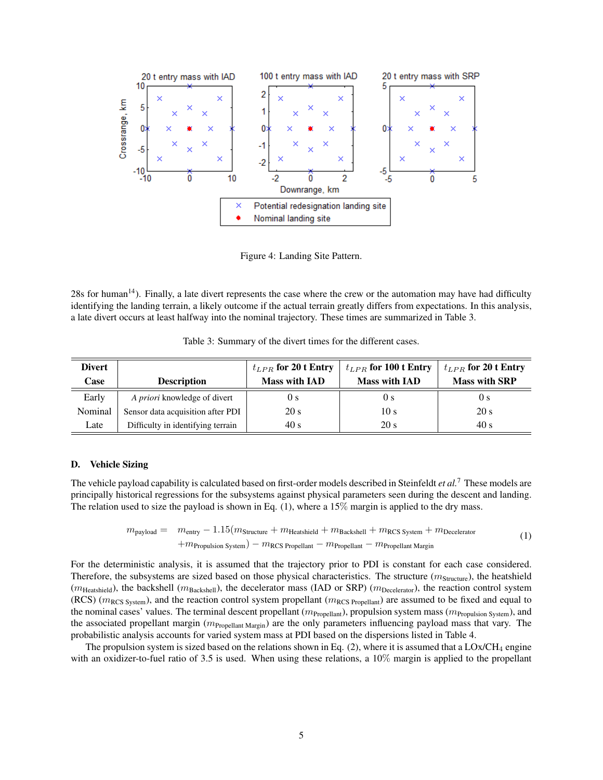

Figure 4: Landing Site Pattern.

28s for human<sup>14</sup>). Finally, a late divert represents the case where the crew or the automation may have had difficulty identifying the landing terrain, a likely outcome if the actual terrain greatly differs from expectations. In this analysis, a late divert occurs at least halfway into the nominal trajectory. These times are summarized in Table 3.

Table 3: Summary of the divert times for the different cases.

| <b>Divert</b> |                                     | $t_{LPR}$ for 20 t Entry | $t_{LPR}$ for 100 t Entry | $t_{LPR}$ for 20 t Entry |
|---------------|-------------------------------------|--------------------------|---------------------------|--------------------------|
| Case          | <b>Description</b>                  | <b>Mass with IAD</b>     | <b>Mass with IAD</b>      | <b>Mass with SRP</b>     |
| Early         | A <i>priori</i> knowledge of divert | U s                      | U S                       | 0 <sub>s</sub>           |
| Nominal       | Sensor data acquisition after PDI   | 20 s                     | 10 s                      | 20 s                     |
| Late          | Difficulty in identifying terrain   | 40 s                     | 20 s                      | 40 s                     |

## D. Vehicle Sizing

The vehicle payload capability is calculated based on first-order models described in Steinfeldt *et al.*<sup>7</sup> These models are principally historical regressions for the subsystems against physical parameters seen during the descent and landing. The relation used to size the payload is shown in Eq.  $(1)$ , where a 15% margin is applied to the dry mass.

$$
m_{\text{payload}} = m_{\text{entry}} - 1.15(m_{\text{Structure}} + m_{\text{Heatshield}} + m_{\text{Backshell}} + m_{\text{RCS System}} + m_{\text{December}}
$$
  
+
$$
m_{\text{Propulsion System}} - m_{\text{RCS Properties}} - m_{\text{Propellant}} - m_{\text{Propellant Margin}}
$$
 (1)

For the deterministic analysis, it is assumed that the trajectory prior to PDI is constant for each case considered. Therefore, the subsystems are sized based on those physical characteristics. The structure  $(m_{Structure})$ , the heatshield ( $m_{\text{Heatshield}}$ ), the backshell ( $m_{\text{Backshell}}$ ), the decelerator mass (IAD or SRP) ( $m_{\text{December}}$ ), the reaction control system (RCS) ( $m_{\text{RCS System}}$ ), and the reaction control system propellant ( $m_{\text{RCS Propellant}}$ ) are assumed to be fixed and equal to the nominal cases' values. The terminal descent propellant  $(m_{\text{Propellant}})$ , propulsion system mass  $(m_{\text{Propulsion System}})$ , and the associated propellant margin  $(m_{\text{Propellant Margin}})$  are the only parameters influencing payload mass that vary. The probabilistic analysis accounts for varied system mass at PDI based on the dispersions listed in Table 4.

The propulsion system is sized based on the relations shown in Eq.  $(2)$ , where it is assumed that a LOx/CH<sub>4</sub> engine with an oxidizer-to-fuel ratio of 3.5 is used. When using these relations, a 10% margin is applied to the propellant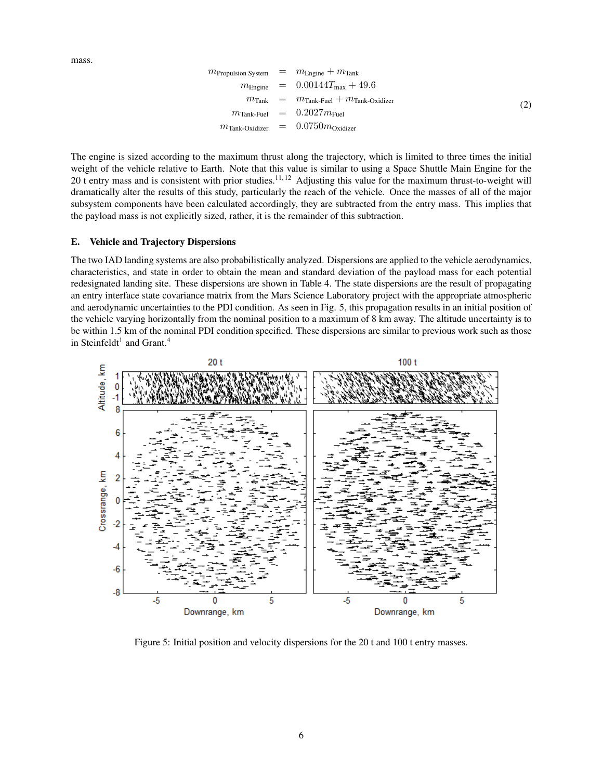mass.

$$
m_{\text{Propulsion System}} = m_{\text{Engineering}} + m_{\text{Tank}}
$$
  
\n
$$
m_{\text{Engineering}} = 0.00144 T_{\text{max}} + 49.6
$$
  
\n
$$
m_{\text{Tank}} = m_{\text{Tank-Fuel}} + m_{\text{Tank-Oxidizer}}
$$
  
\n
$$
m_{\text{Tank-Fuel}} = 0.2027 m_{\text{Fuel}}
$$
  
\n
$$
m_{\text{Tank-Oxidizer}} = 0.0750 m_{\text{Oxidizer}}
$$
 (2)

The engine is sized according to the maximum thrust along the trajectory, which is limited to three times the initial weight of the vehicle relative to Earth. Note that this value is similar to using a Space Shuttle Main Engine for the 20 t entry mass and is consistent with prior studies.<sup>11,12</sup> Adjusting this value for the maximum thrust-to-weight will dramatically alter the results of this study, particularly the reach of the vehicle. Once the masses of all of the major subsystem components have been calculated accordingly, they are subtracted from the entry mass. This implies that the payload mass is not explicitly sized, rather, it is the remainder of this subtraction.

## E. Vehicle and Trajectory Dispersions

The two IAD landing systems are also probabilistically analyzed. Dispersions are applied to the vehicle aerodynamics, characteristics, and state in order to obtain the mean and standard deviation of the payload mass for each potential redesignated landing site. These dispersions are shown in Table 4. The state dispersions are the result of propagating an entry interface state covariance matrix from the Mars Science Laboratory project with the appropriate atmospheric and aerodynamic uncertainties to the PDI condition. As seen in Fig. 5, this propagation results in an initial position of the vehicle varying horizontally from the nominal position to a maximum of 8 km away. The altitude uncertainty is to be within 1.5 km of the nominal PDI condition specified. These dispersions are similar to previous work such as those in Steinfeldt<sup>1</sup> and Grant.<sup>4</sup>



Figure 5: Initial position and velocity dispersions for the 20 t and 100 t entry masses.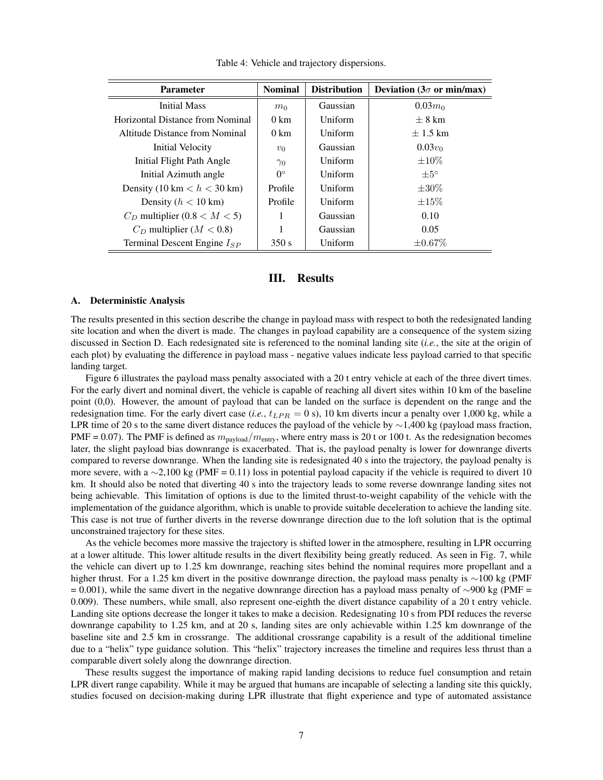| <b>Parameter</b>                 | <b>Nominal</b> | <b>Distribution</b> | Deviation ( $3\sigma$ or min/max) |
|----------------------------------|----------------|---------------------|-----------------------------------|
| <b>Initial Mass</b>              | m <sub>0</sub> | Gaussian            | $0.03m_0$                         |
| Horizontal Distance from Nominal | $0 \text{ km}$ | Uniform             | $+8$ km                           |
| Altitude Distance from Nominal   | $0 \text{ km}$ | Uniform             | $\pm$ 1.5 km                      |
| Initial Velocity                 | $v_0$          | Gaussian            | $0.03v_0$                         |
| Initial Flight Path Angle        | $\gamma_0$     | Uniform             | $+10\%$                           |
| Initial Azimuth angle            | $0^{\circ}$    | Uniform             | $+5^{\circ}$                      |
| Density (10 km $< h <$ 30 km)    | Profile        | Uniform             | $\pm 30\%$                        |
| Density $(h < 10 \text{ km})$    | Profile        | Uniform             | $\pm 15\%$                        |
| $C_D$ multiplier (0.8 < M < 5)   | 1              | Gaussian            | 0.10                              |
| $C_D$ multiplier ( $M < 0.8$ )   | 1              | Gaussian            | 0.05                              |
| Terminal Descent Engine $I_{SP}$ | 350 s          | Uniform             | $\pm 0.67\%$                      |

Table 4: Vehicle and trajectory dispersions.

# III. Results

#### A. Deterministic Analysis

The results presented in this section describe the change in payload mass with respect to both the redesignated landing site location and when the divert is made. The changes in payload capability are a consequence of the system sizing discussed in Section D. Each redesignated site is referenced to the nominal landing site (*i.e.*, the site at the origin of each plot) by evaluating the difference in payload mass - negative values indicate less payload carried to that specific landing target.

Figure 6 illustrates the payload mass penalty associated with a 20 t entry vehicle at each of the three divert times. For the early divert and nominal divert, the vehicle is capable of reaching all divert sites within 10 km of the baseline point (0,0). However, the amount of payload that can be landed on the surface is dependent on the range and the redesignation time. For the early divert case (*i.e.*,  $t_{LPR} = 0$  s), 10 km diverts incur a penalty over 1,000 kg, while a LPR time of 20 s to the same divert distance reduces the payload of the vehicle by ∼1,400 kg (payload mass fraction, PMF = 0.07). The PMF is defined as  $m_{\text{payload}}/m_{\text{entry}}$ , where entry mass is 20 t or 100 t. As the redesignation becomes later, the slight payload bias downrange is exacerbated. That is, the payload penalty is lower for downrange diverts compared to reverse downrange. When the landing site is redesignated 40 s into the trajectory, the payload penalty is more severe, with a ∼2,100 kg (PMF = 0.11) loss in potential payload capacity if the vehicle is required to divert 10 km. It should also be noted that diverting 40 s into the trajectory leads to some reverse downrange landing sites not being achievable. This limitation of options is due to the limited thrust-to-weight capability of the vehicle with the implementation of the guidance algorithm, which is unable to provide suitable deceleration to achieve the landing site. This case is not true of further diverts in the reverse downrange direction due to the loft solution that is the optimal unconstrained trajectory for these sites.

As the vehicle becomes more massive the trajectory is shifted lower in the atmosphere, resulting in LPR occurring at a lower altitude. This lower altitude results in the divert flexibility being greatly reduced. As seen in Fig. 7, while the vehicle can divert up to 1.25 km downrange, reaching sites behind the nominal requires more propellant and a higher thrust. For a 1.25 km divert in the positive downrange direction, the payload mass penalty is ∼100 kg (PMF  $= 0.001$ ), while the same divert in the negative downrange direction has a payload mass penalty of ∼900 kg (PMF = 0.009). These numbers, while small, also represent one-eighth the divert distance capability of a 20 t entry vehicle. Landing site options decrease the longer it takes to make a decision. Redesignating 10 s from PDI reduces the reverse downrange capability to 1.25 km, and at 20 s, landing sites are only achievable within 1.25 km downrange of the baseline site and 2.5 km in crossrange. The additional crossrange capability is a result of the additional timeline due to a "helix" type guidance solution. This "helix" trajectory increases the timeline and requires less thrust than a comparable divert solely along the downrange direction.

These results suggest the importance of making rapid landing decisions to reduce fuel consumption and retain LPR divert range capability. While it may be argued that humans are incapable of selecting a landing site this quickly, studies focused on decision-making during LPR illustrate that flight experience and type of automated assistance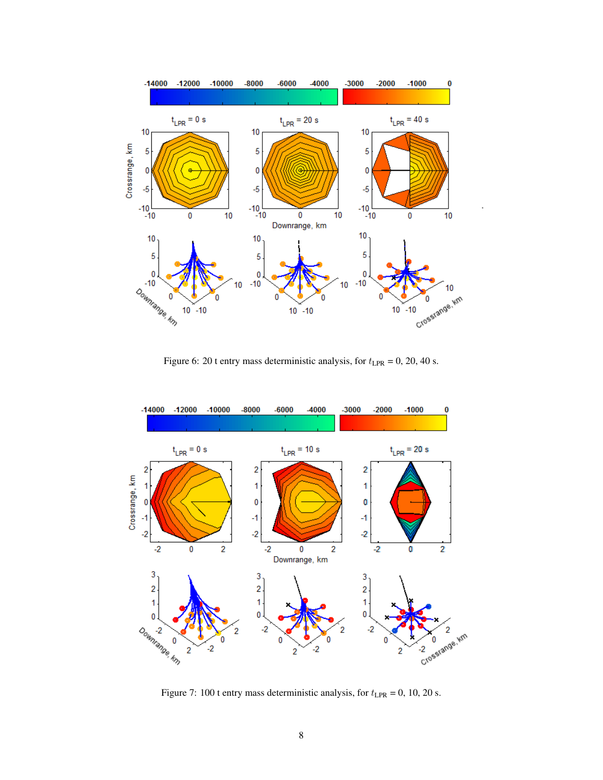

Figure 6: 20 t entry mass deterministic analysis, for  $t_{\text{LPR}} = 0$ , 20, 40 s.



Figure 7: 100 t entry mass deterministic analysis, for  $t_{\text{LPR}} = 0$ , 10, 20 s.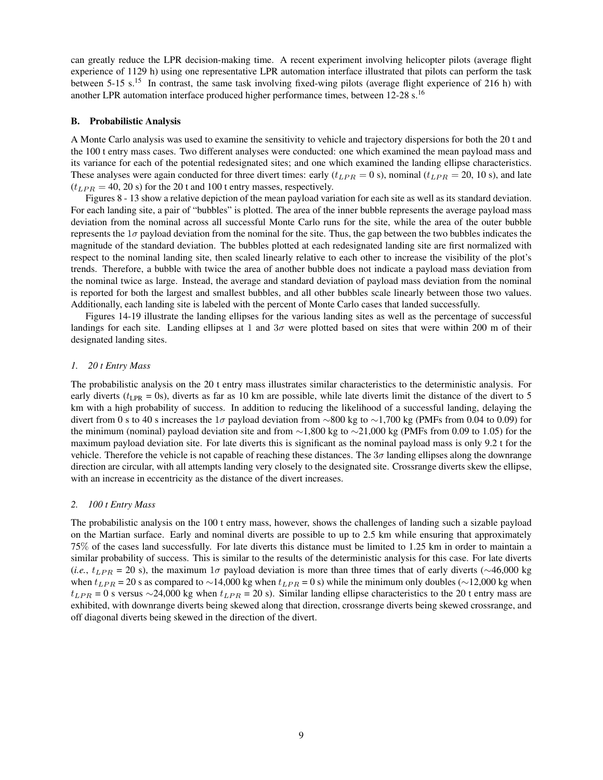can greatly reduce the LPR decision-making time. A recent experiment involving helicopter pilots (average flight experience of 1129 h) using one representative LPR automation interface illustrated that pilots can perform the task between 5-15 s.<sup>15</sup> In contrast, the same task involving fixed-wing pilots (average flight experience of 216 h) with another LPR automation interface produced higher performance times, between 12-28 s.<sup>16</sup>

## B. Probabilistic Analysis

A Monte Carlo analysis was used to examine the sensitivity to vehicle and trajectory dispersions for both the 20 t and the 100 t entry mass cases. Two different analyses were conducted: one which examined the mean payload mass and its variance for each of the potential redesignated sites; and one which examined the landing ellipse characteristics. These analyses were again conducted for three divert times: early  $(t_{LPR} = 0 \text{ s})$ , nominal  $(t_{LPR} = 20, 10 \text{ s})$ , and late  $(t_{LPR} = 40, 20 \text{ s})$  for the 20 t and 100 t entry masses, respectively.

Figures 8 - 13 show a relative depiction of the mean payload variation for each site as well as its standard deviation. For each landing site, a pair of "bubbles" is plotted. The area of the inner bubble represents the average payload mass deviation from the nominal across all successful Monte Carlo runs for the site, while the area of the outer bubble represents the  $1\sigma$  payload deviation from the nominal for the site. Thus, the gap between the two bubbles indicates the magnitude of the standard deviation. The bubbles plotted at each redesignated landing site are first normalized with respect to the nominal landing site, then scaled linearly relative to each other to increase the visibility of the plot's trends. Therefore, a bubble with twice the area of another bubble does not indicate a payload mass deviation from the nominal twice as large. Instead, the average and standard deviation of payload mass deviation from the nominal is reported for both the largest and smallest bubbles, and all other bubbles scale linearly between those two values. Additionally, each landing site is labeled with the percent of Monte Carlo cases that landed successfully.

Figures 14-19 illustrate the landing ellipses for the various landing sites as well as the percentage of successful landings for each site. Landing ellipses at 1 and  $3\sigma$  were plotted based on sites that were within 200 m of their designated landing sites.

#### *1. 20 t Entry Mass*

The probabilistic analysis on the 20 t entry mass illustrates similar characteristics to the deterministic analysis. For early diverts ( $t_{\text{LPR}}$  = 0s), diverts as far as 10 km are possible, while late diverts limit the distance of the divert to 5 km with a high probability of success. In addition to reducing the likelihood of a successful landing, delaying the divert from 0 s to 40 s increases the 1σ payload deviation from ∼800 kg to ~1,700 kg (PMFs from 0.04 to 0.09) for the minimum (nominal) payload deviation site and from ∼1,800 kg to ∼21,000 kg (PMFs from 0.09 to 1.05) for the maximum payload deviation site. For late diverts this is significant as the nominal payload mass is only 9.2 t for the vehicle. Therefore the vehicle is not capable of reaching these distances. The  $3\sigma$  landing ellipses along the downrange direction are circular, with all attempts landing very closely to the designated site. Crossrange diverts skew the ellipse, with an increase in eccentricity as the distance of the divert increases.

## *2. 100 t Entry Mass*

The probabilistic analysis on the 100 t entry mass, however, shows the challenges of landing such a sizable payload on the Martian surface. Early and nominal diverts are possible to up to 2.5 km while ensuring that approximately 75% of the cases land successfully. For late diverts this distance must be limited to 1.25 km in order to maintain a similar probability of success. This is similar to the results of the deterministic analysis for this case. For late diverts (*i.e.*,  $t_{LPR} = 20$  s), the maximum 1 $\sigma$  payload deviation is more than three times that of early diverts ( $\sim$ 46,000 kg) when  $t_{LPR}$  = 20 s as compared to ~14,000 kg when  $t_{LPR}$  = 0 s) while the minimum only doubles (∼12,000 kg when  $t_{LPR} = 0$  s versus ∼24,000 kg when  $t_{LPR} = 20$  s). Similar landing ellipse characteristics to the 20 t entry mass are exhibited, with downrange diverts being skewed along that direction, crossrange diverts being skewed crossrange, and off diagonal diverts being skewed in the direction of the divert.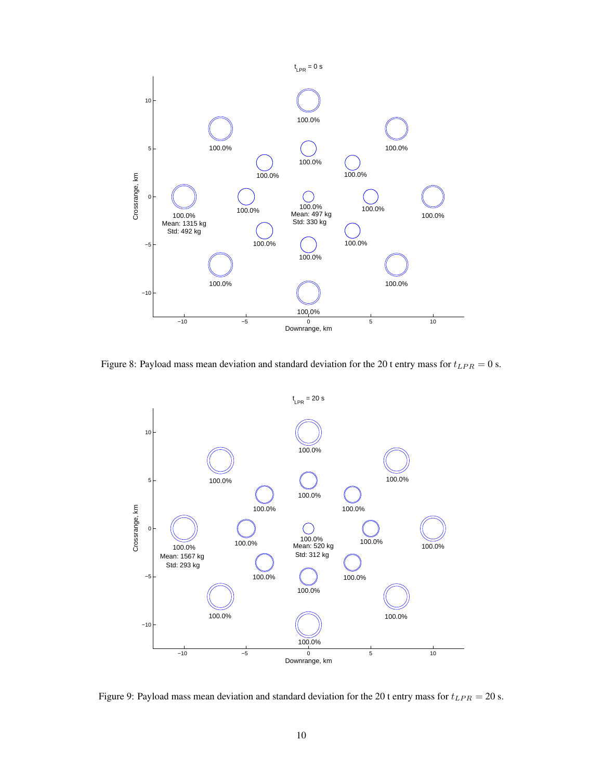

Figure 8: Payload mass mean deviation and standard deviation for the 20 t entry mass for  $t_{LPR} = 0$  s.



Figure 9: Payload mass mean deviation and standard deviation for the 20 t entry mass for  $t_{LPR} = 20$  s.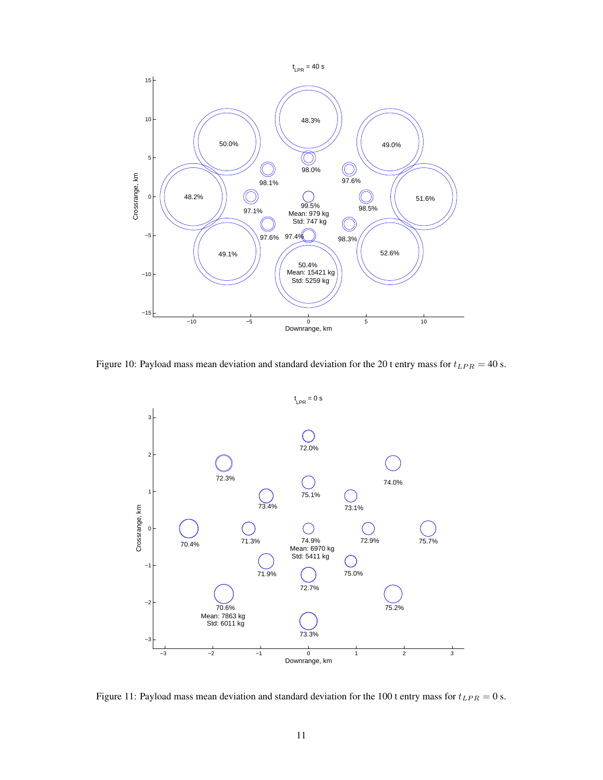

Figure 10: Payload mass mean deviation and standard deviation for the 20 t entry mass for  $t_{LPR} = 40$  s.



Figure 11: Payload mass mean deviation and standard deviation for the 100 t entry mass for  $t_{LPR} = 0$  s.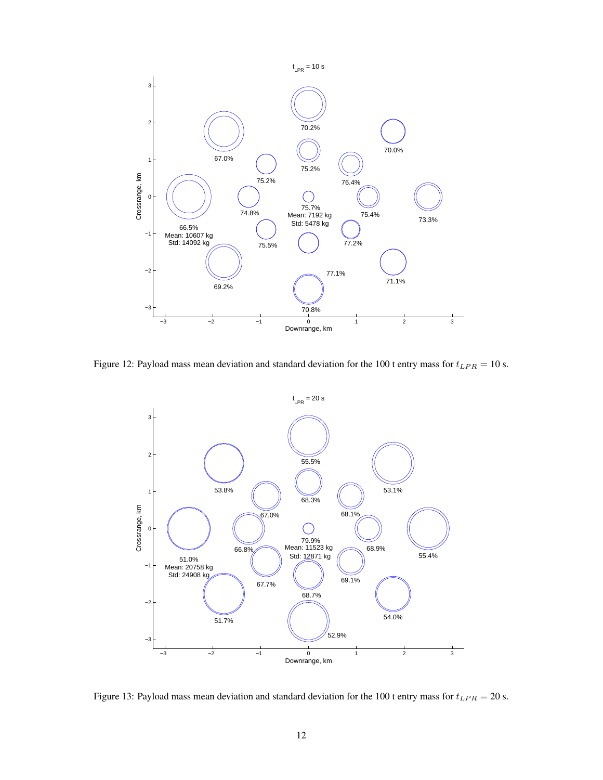

Figure 12: Payload mass mean deviation and standard deviation for the 100 t entry mass for  $t_{LPR} = 10$  s.



Figure 13: Payload mass mean deviation and standard deviation for the 100 t entry mass for  $t_{LPR} = 20$  s.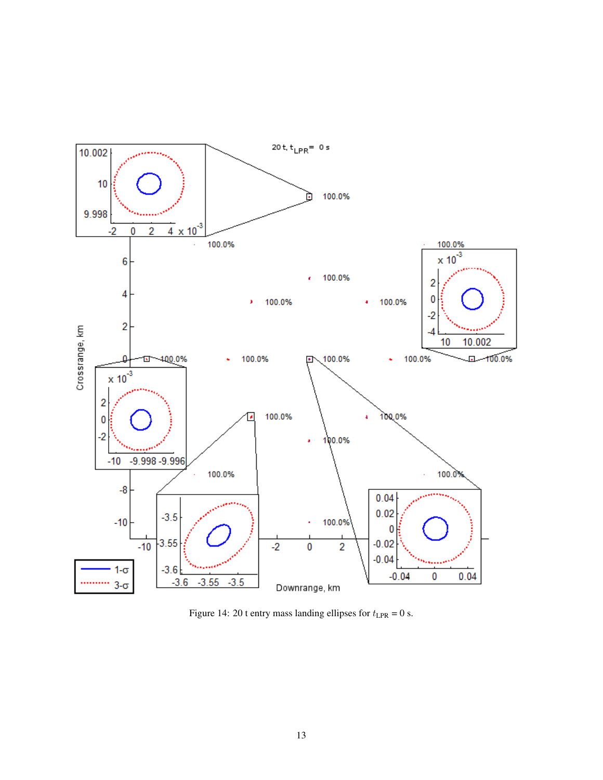

Figure 14: 20 t entry mass landing ellipses for  $t_{\text{LPR}} = 0$  s.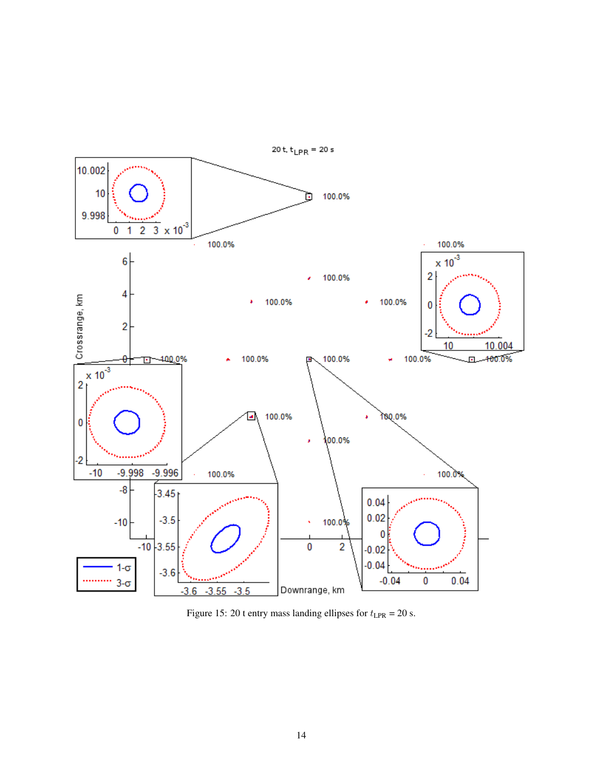

Figure 15: 20 t entry mass landing ellipses for  $t_{\text{LPR}} = 20$  s.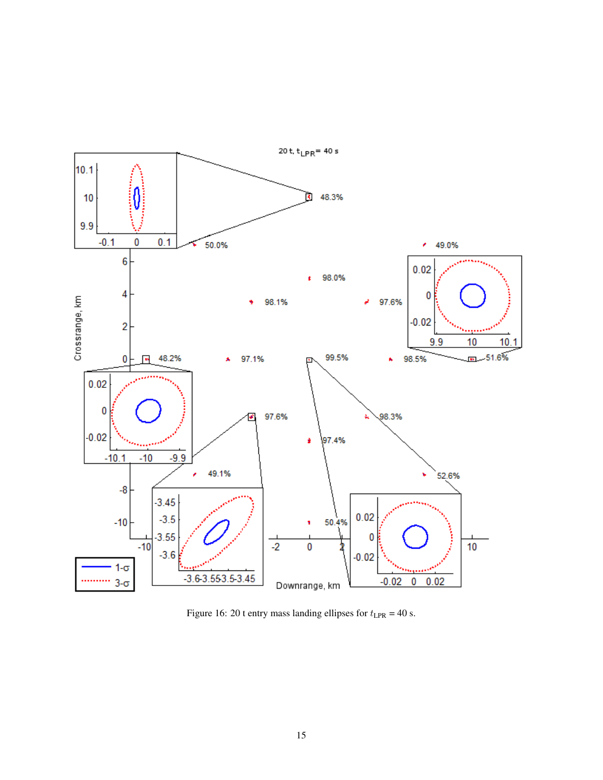

Figure 16: 20 t entry mass landing ellipses for  $t_{\text{LPR}} = 40$  s.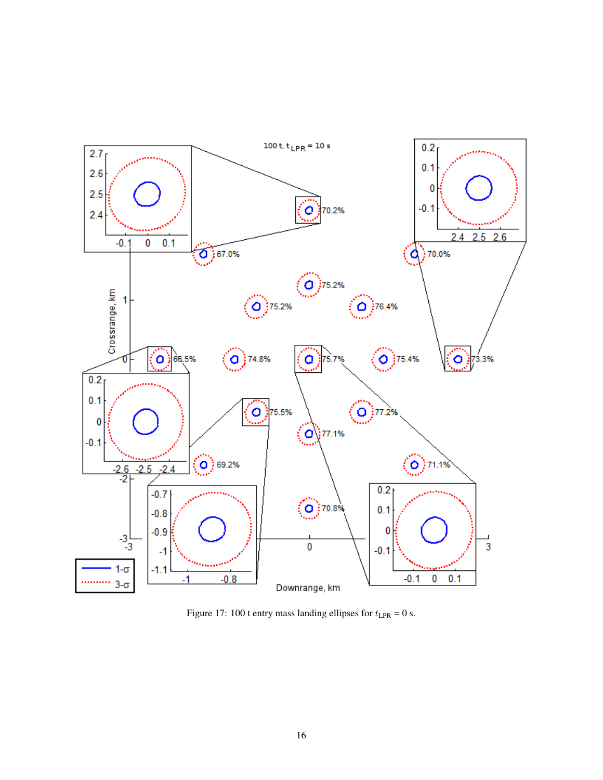

Figure 17: 100 t entry mass landing ellipses for  $t_{\text{LPR}} = 0$  s.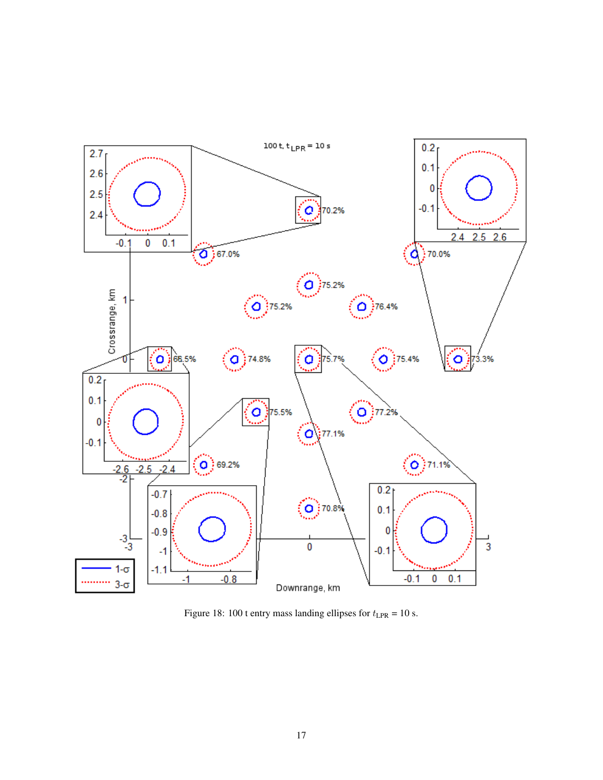

Figure 18: 100 t entry mass landing ellipses for  $t_{\text{LPR}} = 10$  s.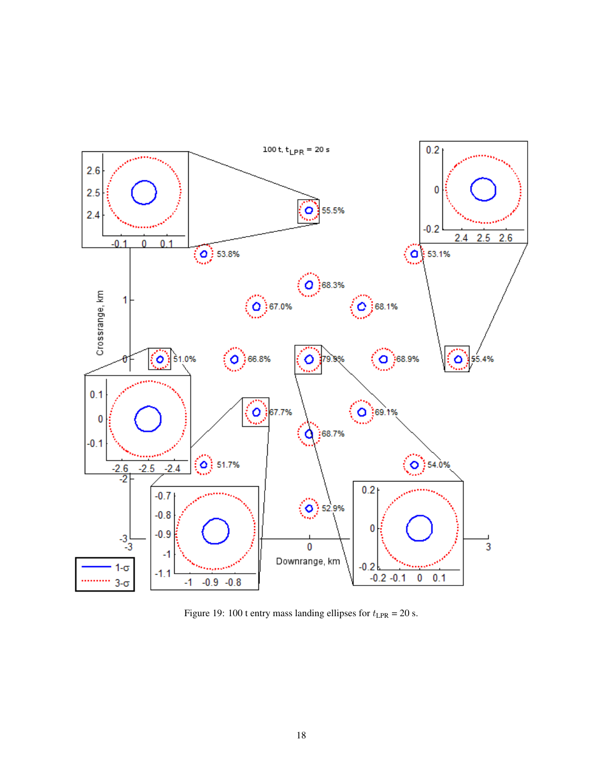

Figure 19: 100 t entry mass landing ellipses for  $t_{\text{LPR}} = 20$  s.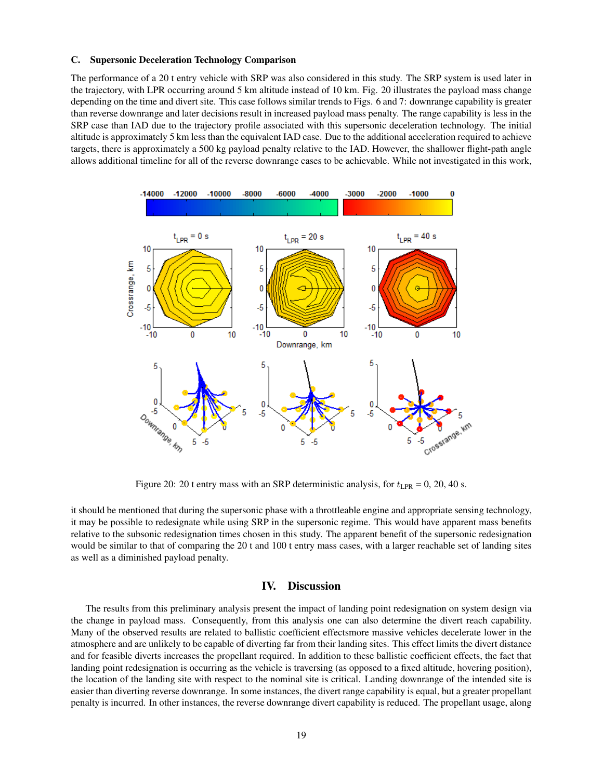#### C. Supersonic Deceleration Technology Comparison

The performance of a 20 t entry vehicle with SRP was also considered in this study. The SRP system is used later in the trajectory, with LPR occurring around 5 km altitude instead of 10 km. Fig. 20 illustrates the payload mass change depending on the time and divert site. This case follows similar trends to Figs. 6 and 7: downrange capability is greater than reverse downrange and later decisions result in increased payload mass penalty. The range capability is less in the SRP case than IAD due to the trajectory profile associated with this supersonic deceleration technology. The initial altitude is approximately 5 km less than the equivalent IAD case. Due to the additional acceleration required to achieve targets, there is approximately a 500 kg payload penalty relative to the IAD. However, the shallower flight-path angle allows additional timeline for all of the reverse downrange cases to be achievable. While not investigated in this work,



Figure 20: 20 t entry mass with an SRP deterministic analysis, for  $t_{\text{LPR}} = 0$ , 20, 40 s.

it should be mentioned that during the supersonic phase with a throttleable engine and appropriate sensing technology, it may be possible to redesignate while using SRP in the supersonic regime. This would have apparent mass benefits relative to the subsonic redesignation times chosen in this study. The apparent benefit of the supersonic redesignation would be similar to that of comparing the 20 t and 100 t entry mass cases, with a larger reachable set of landing sites as well as a diminished payload penalty.

# IV. Discussion

The results from this preliminary analysis present the impact of landing point redesignation on system design via the change in payload mass. Consequently, from this analysis one can also determine the divert reach capability. Many of the observed results are related to ballistic coefficient effectsmore massive vehicles decelerate lower in the atmosphere and are unlikely to be capable of diverting far from their landing sites. This effect limits the divert distance and for feasible diverts increases the propellant required. In addition to these ballistic coefficient effects, the fact that landing point redesignation is occurring as the vehicle is traversing (as opposed to a fixed altitude, hovering position), the location of the landing site with respect to the nominal site is critical. Landing downrange of the intended site is easier than diverting reverse downrange. In some instances, the divert range capability is equal, but a greater propellant penalty is incurred. In other instances, the reverse downrange divert capability is reduced. The propellant usage, along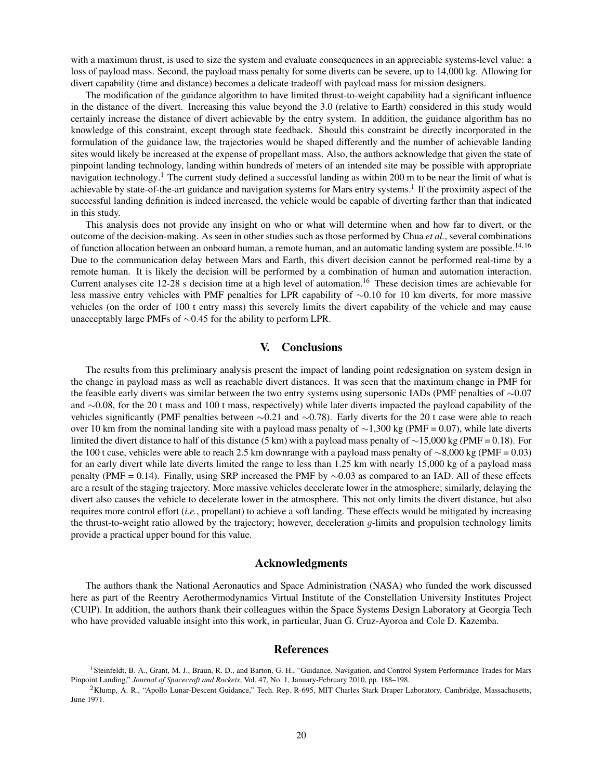with a maximum thrust, is used to size the system and evaluate consequences in an appreciable systems-level value: a loss of payload mass. Second, the payload mass penalty for some diverts can be severe, up to 14,000 kg. Allowing for divert capability (time and distance) becomes a delicate tradeoff with payload mass for mission designers.

The modification of the guidance algorithm to have limited thrust-to-weight capability had a significant influence in the distance of the divert. Increasing this value beyond the 3.0 (relative to Earth) considered in this study would certainly increase the distance of divert achievable by the entry system. In addition, the guidance algorithm has no knowledge of this constraint, except through state feedback. Should this constraint be directly incorporated in the formulation of the guidance law, the trajectories would be shaped differently and the number of achievable landing sites would likely be increased at the expense of propellant mass. Also, the authors acknowledge that given the state of pinpoint landing technology, landing within hundreds of meters of an intended site may be possible with appropriate navigation technology.<sup>1</sup> The current study defined a successful landing as within 200 m to be near the limit of what is achievable by state-of-the-art guidance and navigation systems for Mars entry systems.<sup>1</sup> If the proximity aspect of the successful landing definition is indeed increased, the vehicle would be capable of diverting farther than that indicated in this study.

This analysis does not provide any insight on who or what will determine when and how far to divert, or the outcome of the decision-making. As seen in other studies such as those performed by Chua *et al.*, several combinations of function allocation between an onboard human, a remote human, and an automatic landing system are possible.<sup>14, 16</sup> Due to the communication delay between Mars and Earth, this divert decision cannot be performed real-time by a remote human. It is likely the decision will be performed by a combination of human and automation interaction. Current analyses cite 12-28 s decision time at a high level of automation.<sup>16</sup> These decision times are achievable for less massive entry vehicles with PMF penalties for LPR capability of ∼0.10 for 10 km diverts, for more massive vehicles (on the order of 100 t entry mass) this severely limits the divert capability of the vehicle and may cause unacceptably large PMFs of ∼0.45 for the ability to perform LPR.

# V. Conclusions

The results from this preliminary analysis present the impact of landing point redesignation on system design in the change in payload mass as well as reachable divert distances. It was seen that the maximum change in PMF for the feasible early diverts was similar between the two entry systems using supersonic IADs (PMF penalties of ∼0.07 and ∼0.08, for the 20 t mass and 100 t mass, respectively) while later diverts impacted the payload capability of the vehicles significantly (PMF penalties between ∼0.21 and ∼0.78). Early diverts for the 20 t case were able to reach over 10 km from the nominal landing site with a payload mass penalty of ∼1,300 kg (PMF = 0.07), while late diverts limited the divert distance to half of this distance (5 km) with a payload mass penalty of ∼15,000 kg (PMF = 0.18). For the 100 t case, vehicles were able to reach 2.5 km downrange with a payload mass penalty of ∼8,000 kg (PMF = 0.03) for an early divert while late diverts limited the range to less than 1.25 km with nearly 15,000 kg of a payload mass penalty (PMF = 0.14). Finally, using SRP increased the PMF by ∼0.03 as compared to an IAD. All of these effects are a result of the staging trajectory. More massive vehicles decelerate lower in the atmosphere; similarly, delaying the divert also causes the vehicle to decelerate lower in the atmosphere. This not only limits the divert distance, but also requires more control effort (*i.e.*, propellant) to achieve a soft landing. These effects would be mitigated by increasing the thrust-to-weight ratio allowed by the trajectory; however, deceleration  $q$ -limits and propulsion technology limits provide a practical upper bound for this value.

# Acknowledgments

The authors thank the National Aeronautics and Space Administration (NASA) who funded the work discussed here as part of the Reentry Aerothermodynamics Virtual Institute of the Constellation University Institutes Project (CUIP). In addition, the authors thank their colleagues within the Space Systems Design Laboratory at Georgia Tech who have provided valuable insight into this work, in particular, Juan G. Cruz-Ayoroa and Cole D. Kazemba.

# References

<sup>&</sup>lt;sup>1</sup> Steinfeldt, B. A., Grant, M. J., Braun, R. D., and Barton, G. H., "Guidance, Navigation, and Control System Performance Trades for Mars Pinpoint Landing," *Journal of Spacecraft and Rockets*, Vol. 47, No. 1, January-February 2010, pp. 188–198.

<sup>&</sup>lt;sup>2</sup>Klump, A. R., "Apollo Lunar-Descent Guidance," Tech. Rep. R-695, MIT Charles Stark Draper Laboratory, Cambridge, Massachusetts, June 1971.